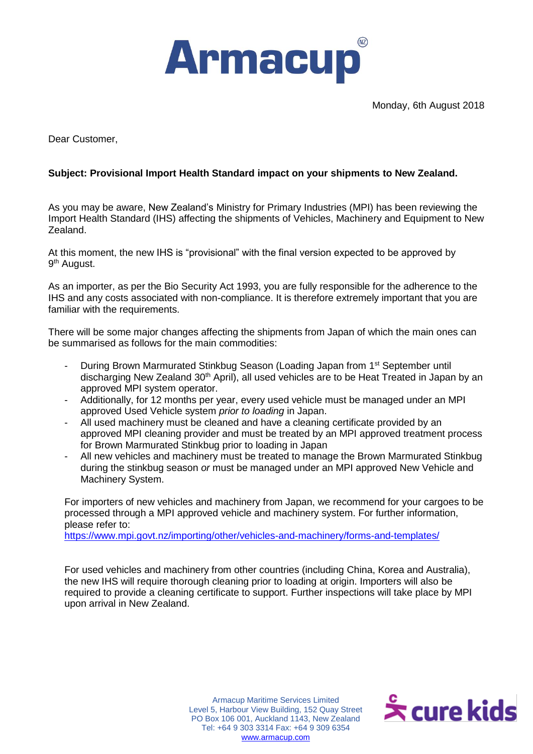

Monday, 6th August 2018

Dear Customer,

## **Subject: Provisional Import Health Standard impact on your shipments to New Zealand.**

As you may be aware, New Zealand's Ministry for Primary Industries (MPI) has been reviewing the Import Health Standard (IHS) affecting the shipments of Vehicles, Machinery and Equipment to New Zealand.

At this moment, the new IHS is "provisional" with the final version expected to be approved by 9<sup>th</sup> August.

As an importer, as per the Bio Security Act 1993, you are fully responsible for the adherence to the IHS and any costs associated with non-compliance. It is therefore extremely important that you are familiar with the requirements.

There will be some major changes affecting the shipments from Japan of which the main ones can be summarised as follows for the main commodities:

- During Brown Marmurated Stinkbug Season (Loading Japan from 1<sup>st</sup> September until discharging New Zealand 30<sup>th</sup> April), all used vehicles are to be Heat Treated in Japan by an approved MPI system operator.
- Additionally, for 12 months per year, every used vehicle must be managed under an MPI approved Used Vehicle system *prior to loading* in Japan.
- All used machinery must be cleaned and have a cleaning certificate provided by an approved MPI cleaning provider and must be treated by an MPI approved treatment process for Brown Marmurated Stinkbug prior to loading in Japan
- All new vehicles and machinery must be treated to manage the Brown Marmurated Stinkbug during the stinkbug season *or* must be managed under an MPI approved New Vehicle and Machinery System.

For importers of new vehicles and machinery from Japan, we recommend for your cargoes to be processed through a MPI approved vehicle and machinery system. For further information, please refer to:

<https://www.mpi.govt.nz/importing/other/vehicles-and-machinery/forms-and-templates/>

For used vehicles and machinery from other countries (including China, Korea and Australia), the new IHS will require thorough cleaning prior to loading at origin. Importers will also be required to provide a cleaning certificate to support. Further inspections will take place by MPI upon arrival in New Zealand.